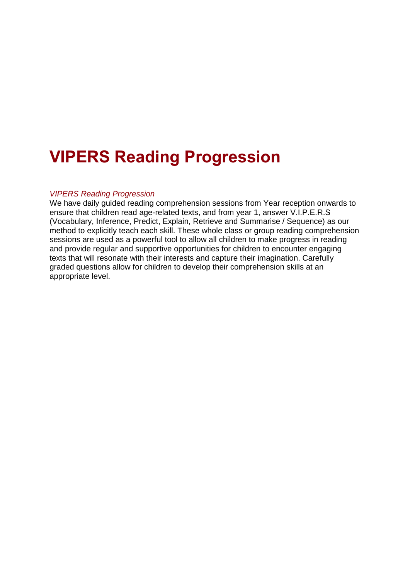# **VIPERS Reading Progression**

#### *VIPERS Reading [Progression](https://www.stmichaels.reading.sch.uk/vipers-reading-progression/)*

We have daily guided reading comprehension sessions from Year reception onwards to ensure that children read age-related texts, and from year 1, answer V.I.P.E.R.S (Vocabulary, Inference, Predict, Explain, Retrieve and Summarise / Sequence) as our method to explicitly teach each skill. These whole class or group reading comprehension sessions are used as a powerful tool to allow all children to make progress in reading and provide regular and supportive opportunities for children to encounter engaging texts that will resonate with their interests and capture their imagination. Carefully graded questions allow for children to develop their comprehension skills at an appropriate level.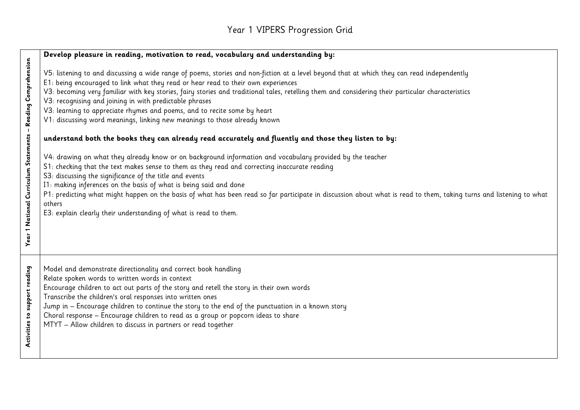#### Year 1 VIPERS Progression Grid

|                                                               | Develop pleasure in reading, motivation to read, vocabulary and understanding by:                                                                                                                                                                                                                                                                                                                                                                                                                                                                                                                                                                                                                                                                                                                                                                                                                                                                                                                                                                                                                                                                                                                                                                                                                                   |
|---------------------------------------------------------------|---------------------------------------------------------------------------------------------------------------------------------------------------------------------------------------------------------------------------------------------------------------------------------------------------------------------------------------------------------------------------------------------------------------------------------------------------------------------------------------------------------------------------------------------------------------------------------------------------------------------------------------------------------------------------------------------------------------------------------------------------------------------------------------------------------------------------------------------------------------------------------------------------------------------------------------------------------------------------------------------------------------------------------------------------------------------------------------------------------------------------------------------------------------------------------------------------------------------------------------------------------------------------------------------------------------------|
| Year 1 National Curriculum Statements - Reading Comprehension | V5: listening to and discussing a wide range of poems, stories and non-fiction at a level beyond that at which they can read independently<br>E1: being encouraged to link what they read or hear read to their own experiences<br>V3: becoming very familiar with key stories, fairy stories and traditional tales, retelling them and considering their particular characteristics<br>V3: recognising and joining in with predictable phrases<br>V3: learning to appreciate rhymes and poems, and to recite some by heart<br>V1: discussing word meanings, linking new meanings to those already known<br>understand both the books they can already read accurately and fluently and those they listen to by:<br>V4: drawing on what they already know or on background information and vocabulary provided by the teacher<br>S1: checking that the text makes sense to them as they read and correcting inaccurate reading<br>S3: discussing the significance of the title and events<br>I1: making inferences on the basis of what is being said and done<br>P1: predicting what might happen on the basis of what has been read so far participate in discussion about what is read to them, taking turns and listening to what<br>others<br>E3: explain clearly their understanding of what is read to them. |
| support reading<br>Activities to                              | Model and demonstrate directionality and correct book handling<br>Relate spoken words to written words in context<br>Encourage children to act out parts of the story and retell the story in their own words<br>Transcribe the children's oral responses into written ones<br>Jump in - Encourage children to continue the story to the end of the punctuation in a known story<br>Choral response - Encourage children to read as a group or popcorn ideas to share<br>MTYT - Allow children to discuss in partners or read together                                                                                                                                                                                                                                                                                                                                                                                                                                                                                                                                                                                                                                                                                                                                                                              |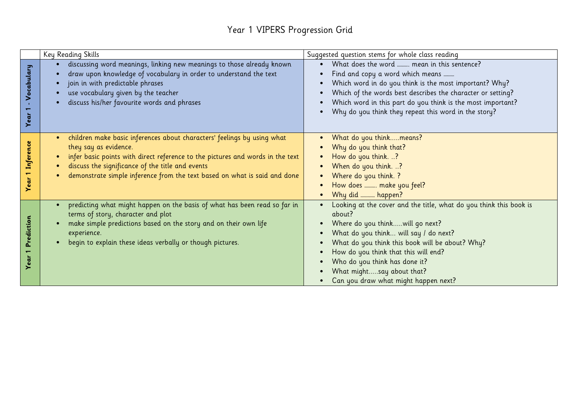#### Year 1 VIPERS Progression Grid

|                    | Key Reading Skills                                                                                                                                                                                                                                                                                                  | Suggested question stems for whole class reading                                                                                                                                                                                                                                                                                                          |
|--------------------|---------------------------------------------------------------------------------------------------------------------------------------------------------------------------------------------------------------------------------------------------------------------------------------------------------------------|-----------------------------------------------------------------------------------------------------------------------------------------------------------------------------------------------------------------------------------------------------------------------------------------------------------------------------------------------------------|
| Vocabulary<br>Year | discussing word meanings, linking new meanings to those already known<br>draw upon knowledge of vocabulary in order to understand the text<br>join in with predictable phrases<br>use vocabulary given by the teacher<br>discuss his/her favourite words and phrases                                                | What does the word  mean in this sentence?<br>Find and copy a word which means<br>Which word in do you think is the most important? Why?<br>Which of the words best describes the character or setting?<br>Which word in this part do you think is the most important?<br>Why do you think they repeat this word in the story?                            |
| Inference<br>Year  | children make basic inferences about characters' feelings by using what<br>they say as evidence.<br>infer basic points with direct reference to the pictures and words in the text<br>discuss the significance of the title and events<br>demonstrate simple inference from the text based on what is said and done | What do you thinkmeans?<br>Why do you think that?<br>How do you think. ?<br>When do you think. ?<br>Where do you think. ?<br>How does  make you feel?<br>Why did  happen?                                                                                                                                                                                 |
| Prediction<br>Year | predicting what might happen on the basis of what has been read so far in<br>terms of story, character and plot<br>make simple predictions based on the story and on their own life<br>experience.<br>begin to explain these ideas verbally or though pictures.                                                     | Looking at the cover and the title, what do you think this book is<br>about?<br>Where do you thinkwill go next?<br>What do you think will say / do next?<br>What do you think this book will be about? Why?<br>How do you think that this will end?<br>Who do you think has done it?<br>What mightsay about that?<br>Can you draw what might happen next? |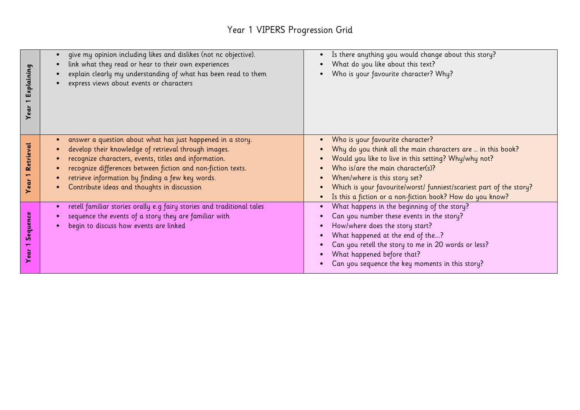#### Year 1 VIPERS Progression Grid

| Explaining<br>Year | give my opinion including likes and dislikes (not nc objective).<br>link what they read or hear to their own experiences<br>explain clearly my understanding of what has been read to them<br>express views about events or characters                                                                                                         | Is there anything you would change about this story?<br>What do you like about this text?<br>Who is your favourite character? Why?                                                                                                                                                                                                                                |
|--------------------|------------------------------------------------------------------------------------------------------------------------------------------------------------------------------------------------------------------------------------------------------------------------------------------------------------------------------------------------|-------------------------------------------------------------------------------------------------------------------------------------------------------------------------------------------------------------------------------------------------------------------------------------------------------------------------------------------------------------------|
| Retrieval<br>Year  | answer a question about what has just happened in a story.<br>develop their knowledge of retrieval through images.<br>recognize characters, events, titles and information.<br>recognize differences between fiction and non-fiction texts.<br>retrieve information by finding a few key words.<br>Contribute ideas and thoughts in discussion | Who is your favourite character?<br>Why do you think all the main characters are  in this book?<br>Would you like to live in this setting? Why/why not?<br>Who is/are the main character(s)?<br>When/where is this story set?<br>Which is your favourite/worst/ funniest/scariest part of the story?<br>Is this a fiction or a non-fiction book? How do you know? |
| Sequence<br>ear    | retell familiar stories orally e.g fairy stories and traditional tales<br>$\bullet$<br>sequence the events of a story they are familiar with<br>begin to discuss how events are linked                                                                                                                                                         | What happens in the beginning of the story?<br>Can you number these events in the story?<br>How/where does the story start?<br>What happened at the end of the?<br>Can you retell the story to me in 20 words or less?<br>What happened before that?<br>Can you sequence the key moments in this story?                                                           |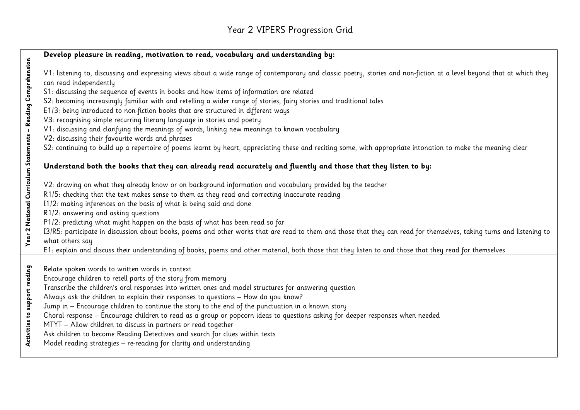#### Year 2 VIPERS Progression Grid

|                                                               | Develop pleasure in reading, motivation to read, vocabulary and understanding by:                                                                                                                                                                                                                                                                                                                                                                                                                                                                                                                                                                                                                                                                                                                                                                                                                        |
|---------------------------------------------------------------|----------------------------------------------------------------------------------------------------------------------------------------------------------------------------------------------------------------------------------------------------------------------------------------------------------------------------------------------------------------------------------------------------------------------------------------------------------------------------------------------------------------------------------------------------------------------------------------------------------------------------------------------------------------------------------------------------------------------------------------------------------------------------------------------------------------------------------------------------------------------------------------------------------|
| Year 2 National Curriculum Statements - Reading Comprehension | V1: listening to, discussing and expressing views about a wide range of contemporary and classic poetry, stories and non-fiction at a level beyond that at which they<br>can read independently<br>S1: discussing the sequence of events in books and how items of information are related<br>S2: becoming increasingly familiar with and retelling a wider range of stories, fairy stories and traditional tales<br>E1/3: being introduced to non-fiction books that are structured in different ways<br>V3: recognising simple recurring literary language in stories and poetry<br>V1: discussing and clarifying the meanings of words, linking new meanings to known vocabulary<br>V2: discussing their favourite words and phrases<br>S2: continuing to build up a repertoire of poems learnt by heart, appreciating these and reciting some, with appropriate intonation to make the meaning clear |
|                                                               | Understand both the books that they can already read accurately and fluently and those that they listen to by:                                                                                                                                                                                                                                                                                                                                                                                                                                                                                                                                                                                                                                                                                                                                                                                           |
|                                                               | V2: drawing on what they already know or on background information and vocabulary provided by the teacher                                                                                                                                                                                                                                                                                                                                                                                                                                                                                                                                                                                                                                                                                                                                                                                                |
|                                                               | R1/5: checking that the text makes sense to them as they read and correcting inaccurate reading                                                                                                                                                                                                                                                                                                                                                                                                                                                                                                                                                                                                                                                                                                                                                                                                          |
|                                                               | I1/2: making inferences on the basis of what is being said and done                                                                                                                                                                                                                                                                                                                                                                                                                                                                                                                                                                                                                                                                                                                                                                                                                                      |
|                                                               | R1/2: answering and asking questions                                                                                                                                                                                                                                                                                                                                                                                                                                                                                                                                                                                                                                                                                                                                                                                                                                                                     |
|                                                               | P1/2: predicting what might happen on the basis of what has been read so far<br>I3/R5: participate in discussion about books, poems and other works that are read to them and those that they can read for themselves, taking turns and listening to                                                                                                                                                                                                                                                                                                                                                                                                                                                                                                                                                                                                                                                     |
|                                                               | what others say                                                                                                                                                                                                                                                                                                                                                                                                                                                                                                                                                                                                                                                                                                                                                                                                                                                                                          |
|                                                               | E1: explain and discuss their understanding of books, poems and other material, both those that they listen to and those that they read for themselves                                                                                                                                                                                                                                                                                                                                                                                                                                                                                                                                                                                                                                                                                                                                                   |
|                                                               |                                                                                                                                                                                                                                                                                                                                                                                                                                                                                                                                                                                                                                                                                                                                                                                                                                                                                                          |
|                                                               | Relate spoken words to written words in context                                                                                                                                                                                                                                                                                                                                                                                                                                                                                                                                                                                                                                                                                                                                                                                                                                                          |
|                                                               | Encourage children to retell parts of the story from memory                                                                                                                                                                                                                                                                                                                                                                                                                                                                                                                                                                                                                                                                                                                                                                                                                                              |
|                                                               | Transcribe the children's oral responses into written ones and model structures for answering question                                                                                                                                                                                                                                                                                                                                                                                                                                                                                                                                                                                                                                                                                                                                                                                                   |
|                                                               | Always ask the children to explain their responses to questions - How do you know?<br>Jump in - Encourage children to continue the story to the end of the punctuation in a known story                                                                                                                                                                                                                                                                                                                                                                                                                                                                                                                                                                                                                                                                                                                  |
| Activities to support reading                                 | Choral response - Encourage children to read as a group or popcorn ideas to questions asking for deeper responses when needed                                                                                                                                                                                                                                                                                                                                                                                                                                                                                                                                                                                                                                                                                                                                                                            |
|                                                               | MTYT - Allow children to discuss in partners or read together                                                                                                                                                                                                                                                                                                                                                                                                                                                                                                                                                                                                                                                                                                                                                                                                                                            |
|                                                               | Ask children to become Reading Detectives and search for clues within texts                                                                                                                                                                                                                                                                                                                                                                                                                                                                                                                                                                                                                                                                                                                                                                                                                              |
|                                                               | Model reading strategies - re-reading for clarity and understanding                                                                                                                                                                                                                                                                                                                                                                                                                                                                                                                                                                                                                                                                                                                                                                                                                                      |
|                                                               |                                                                                                                                                                                                                                                                                                                                                                                                                                                                                                                                                                                                                                                                                                                                                                                                                                                                                                          |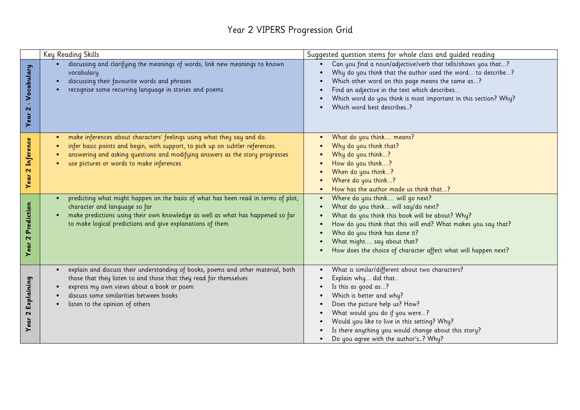#### Year 2 VIPERS Progression Grid

|                                         | Key Reading Skills                                                                                                                                                                                                                                                                  | Suggested question stems for whole class and guided reading                                                                                                                                                                                                                                                                                    |
|-----------------------------------------|-------------------------------------------------------------------------------------------------------------------------------------------------------------------------------------------------------------------------------------------------------------------------------------|------------------------------------------------------------------------------------------------------------------------------------------------------------------------------------------------------------------------------------------------------------------------------------------------------------------------------------------------|
| Vocabulary<br>$\sim$<br>Year            | discussing and clarifying the meanings of words; link new meanings to known<br>vocabulary<br>discussing their favourite words and phrases<br>recognise some recurring language in stories and poems                                                                                 | Can you find a noun/adjective/verb that tells/shows you that?<br>Why do you think that the author used the word to describe?<br>Which other word on this page means the same as?<br>Find an adjective in the text which describes<br>Which word do you think is most important in this section? Why?<br>Which word best describes?             |
| 2 Inference<br>Year                     | make inferences about characters' feelings using what they say and do.<br>infer basic points and begin, with support, to pick up on subtler references.<br>answering and asking questions and modifying answers as the story progresses<br>use pictures or words to make inferences | What do you think means?<br>Why do you think that?<br>Why do you think?<br>How do you think?<br>When do you think?<br>Where do you think?<br>How has the author made us think that?                                                                                                                                                            |
| Prediction<br>$\mathbf{\Omega}$<br>Year | predicting what might happen on the basis of what has been read in terms of plot,<br>character and language so far<br>make predictions using their own knowledge as well as what has happened so far<br>to make logical predictions and give explanations of them                   | Where do you think will go next?<br>What do you think will say/do next?<br>What do you think this book will be about? Why?<br>How do you think that this will end? What makes you say that?<br>Who do you think has done it?<br>What might say about that?<br>How does the choice of character affect what will happen next?                   |
| Explaining<br>$\sim$<br>Year            | explain and discuss their understanding of books, poems and other material, both<br>those that they listen to and those that they read for themselves<br>express my own views about a book or poem<br>discuss some similarities between books<br>listen to the opinion of others    | What is similar/different about two characters?<br>Explain why did that<br>Is this as good as?<br>Which is better and why?<br>Does the picture help us? How?<br>What would you do if you were?<br>Would you like to live in this setting? Why?<br>Is there anything you would change about this story?<br>Do you agree with the author's? Why? |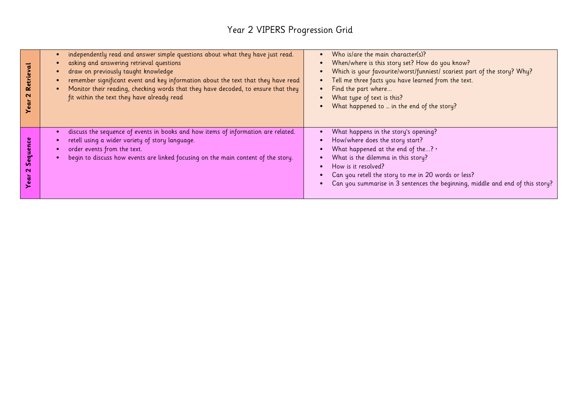# Year 2 VIPERS Progression Grid

| च<br>Retrie<br>$\mathbf{\Omega}$<br>Year | independently read and answer simple questions about what they have just read.<br>asking and answering retrieval questions<br>draw on previously taught knowledge<br>remember significant event and key information about the text that they have read<br>Monitor their reading, checking words that they have decoded, to ensure that they<br>fit within the text they have already read | Who is/are the main character(s)?<br>When/where is this story set? How do you know?<br>Which is your favourite/worst/funniest/ scariest part of the story? Why?<br>Tell me three facts you have learned from the text.<br>$\bullet$<br>Find the part where<br>What type of text is this?<br>What happened to  in the end of the story? |
|------------------------------------------|-------------------------------------------------------------------------------------------------------------------------------------------------------------------------------------------------------------------------------------------------------------------------------------------------------------------------------------------------------------------------------------------|----------------------------------------------------------------------------------------------------------------------------------------------------------------------------------------------------------------------------------------------------------------------------------------------------------------------------------------|
| Sequenc<br>ິ                             | discuss the sequence of events in books and how items of information are related.<br>retell using a wider variety of story language.<br>order events from the text.<br>begin to discuss how events are linked focusing on the main content of the story.                                                                                                                                  | What happens in the story's opening?<br>How/where does the story start?<br>What happened at the end of the? $\cdot$<br>What is the dilemma in this story?<br>How is it resolved?<br>Can you retell the story to me in 20 words or less?<br>Can you summarise in 3 sentences the beginning, middle and end of this story?               |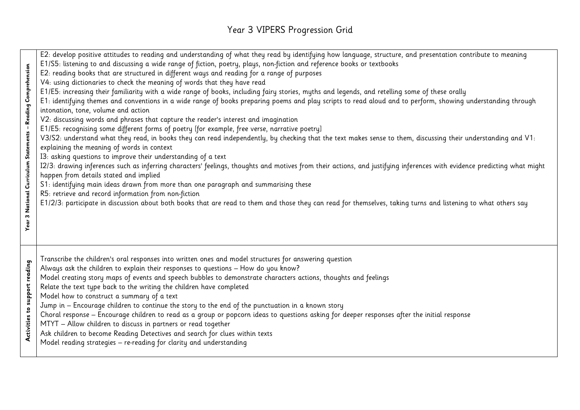#### Year 3 VIPERS Progression Grid

E2: develop positive attitudes to reading and understanding of what they read by identifying how language, structure, and presentation contribute to meaning E1/S5: listening to and discussing a wide range of fiction, poetry, plays, non-fiction and reference books or textbooks 3 National Curriculum Statements – Reading Comprehension **Year 3 National Curriculum Statements – Reading Comprehension** E2: reading books that are structured in different ways and reading for a range of purposes V4: using dictionaries to check the meaning of words that they have read E1/E5: increasing their familiarity with a wide range of books, including fairy stories, myths and legends, and retelling some of these orally E1: identifying themes and conventions in a wide range of books preparing poems and play scripts to read aloud and to perform, showing understanding through intonation, tone, volume and action V2: discussing words and phrases that capture the reader's interest and imagination E1/E5: recognising some different forms of poetry [for example, free verse, narrative poetry] V3/S2: understand what they read, in books they can read independently, by checking that the text makes sense to them, discussing their understanding and V1: explaining the meaning of words in context I3: asking questions to improve their understanding of a text I2/3: drawing inferences such as inferring characters' feelings, thoughts and motives from their actions, and justifying inferences with evidence predicting what might happen from details stated and implied S1: identifying main ideas drawn from more than one paragraph and summarising these R5: retrieve and record information from non-fiction E1/2/3: participate in discussion about both books that are read to them and those they can read for themselves, taking turns and listening to what others say Year<sup>3</sup> Transcribe the children's oral responses into written ones and model structures for answering question Activities to support reading **Activities to support reading** Always ask the children to explain their responses to questions – How do you know? Model creating story maps of events and speech bubbles to demonstrate characters actions, thoughts and feelings Relate the text type back to the writing the children have completed Model how to construct a summary of a text Jump in – Encourage children to continue the story to the end of the punctuation in a known story Choral response – Encourage children to read as a group or popcorn ideas to questions asking for deeper responses after the initial response MTYT – Allow children to discuss in partners or read together Ask children to become Reading Detectives and search for clues within texts Model reading strategies – re-reading for clarity and understanding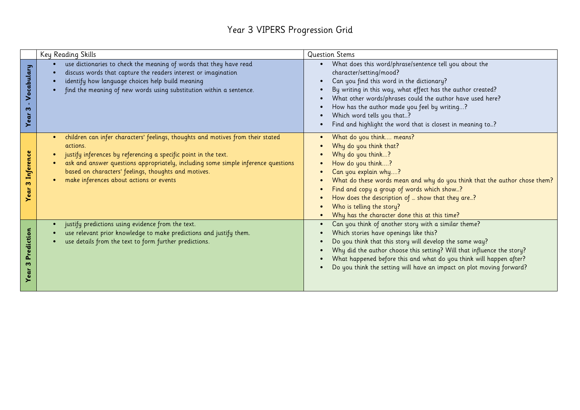#### Year 3 VIPERS Progression Grid

|                             | Key Reading Skills                                                                                                                                                                                                                                                                                                                                     | <b>Question Stems</b>                                                                                                                                                                                                                                                                                                                                                                                  |
|-----------------------------|--------------------------------------------------------------------------------------------------------------------------------------------------------------------------------------------------------------------------------------------------------------------------------------------------------------------------------------------------------|--------------------------------------------------------------------------------------------------------------------------------------------------------------------------------------------------------------------------------------------------------------------------------------------------------------------------------------------------------------------------------------------------------|
| ocabulary<br>⋝<br>m<br>Year | use dictionaries to check the meaning of words that they have read<br>discuss words that capture the readers interest or imagination<br>identify how language choices help build meaning<br>find the meaning of new words using substitution within a sentence.                                                                                        | What does this word/phrase/sentence tell you about the<br>character/setting/mood?<br>Can you find this word in the dictionary?<br>By writing in this way, what effect has the author created?<br>What other words/phrases could the author have used here?<br>How has the author made you feel by writing?<br>Which word tells you that?<br>Find and highlight the word that is closest in meaning to? |
| Inference<br>m<br>ear<br>➤  | children can infer characters' feelings, thoughts and motives from their stated<br>actions.<br>justify inferences by referencing a specific point in the text.<br>ask and answer questions appropriately, including some simple inference questions<br>based on characters' feelings, thoughts and motives.<br>make inferences about actions or events | What do you think means?<br>Why do you think that?<br>Why do you think?<br>How do you think?<br>Can you explain why?<br>What do these words mean and why do you think that the author chose them?<br>Find and copy a group of words which show?<br>How does the description of  show that they are?<br>Who is telling the story?<br>Why has the character done this at this time?                      |
| Prediction<br>m<br>ē        | justify predictions using evidence from the text.<br>use relevant prior knowledge to make predictions and justify them.<br>use details from the text to form further predictions.                                                                                                                                                                      | Can you think of another story with a similar theme?<br>Which stories have openings like this?<br>Do you think that this story will develop the same way?<br>Why did the author choose this setting? Will that influence the story?<br>What happened before this and what do you think will happen after?<br>Do you think the setting will have an impact on plot moving forward?                      |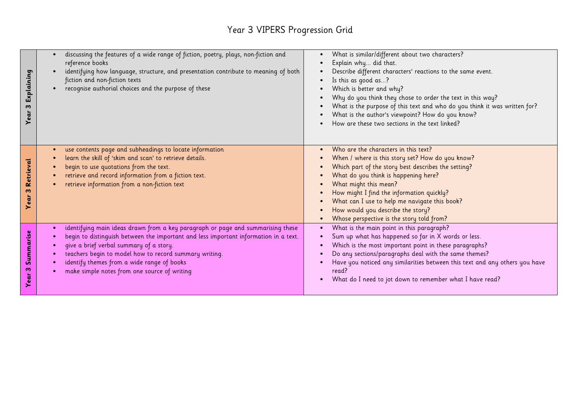#### Year 3 VIPERS Progression Grid

| Explaining<br>w<br>Year    | discussing the features of a wide range of fiction, poetry, plays, non-fiction and<br>reference books<br>identifying how language, structure, and presentation contribute to meaning of both<br>fiction and non-fiction texts<br>recognise authorial choices and the purpose of these                                                                                      | What is similar/different about two characters?<br>Explain why did that.<br>Describe different characters' reactions to the same event.<br>Is this as good as?<br>Which is better and why?<br>Why do you think they chose to order the text in this way?<br>What is the purpose of this text and who do you think it was written for?<br>What is the author's viewpoint? How do you know?<br>How are these two sections in the text linked? |
|----------------------------|----------------------------------------------------------------------------------------------------------------------------------------------------------------------------------------------------------------------------------------------------------------------------------------------------------------------------------------------------------------------------|---------------------------------------------------------------------------------------------------------------------------------------------------------------------------------------------------------------------------------------------------------------------------------------------------------------------------------------------------------------------------------------------------------------------------------------------|
| Retrieval<br>m<br>Year     | use contents page and subheadings to locate information<br>learn the skill of 'skim and scan' to retrieve details.<br>begin to use quotations from the text.<br>retrieve and record information from a fiction text.<br>retrieve information from a non-fiction text                                                                                                       | Who are the characters in this text?<br>When / where is this story set? How do you know?<br>Which part of the story best describes the setting?<br>What do you think is happening here?<br>What might this mean?<br>How might I find the information quickly?<br>What can I use to help me navigate this book?<br>How would you describe the story?<br>Whose perspective is the story told from?                                            |
| Summarise<br>w<br>ear<br>≻ | identifying main ideas drawn from a key paragraph or page and summarising these<br>begin to distinguish between the important and less important information in a text.<br>give a brief verbal summary of a story.<br>teachers begin to model how to record summary writing.<br>identify themes from a wide range of books<br>make simple notes from one source of writing | What is the main point in this paragraph?<br>Sum up what has happened so far in X words or less.<br>Which is the most important point in these paragraphs?<br>Do any sections/paragraphs deal with the same themes?<br>Have you noticed any similarities between this text and any others you have<br>read?<br>What do I need to jot down to remember what I have read?                                                                     |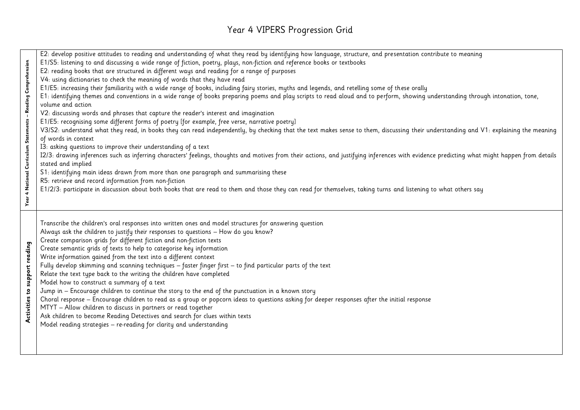#### Year 4 VIPERS Progression Grid

E2: develop positive attitudes to reading and understanding of what they read by identifying how language, structure, and presentation contribute to meaning E1/S5: listening to and discussing a wide range of fiction, poetry, plays, non-fiction and reference books or textbooks Year 4 National Curriculum Statements – Reading Comprehension **Year 4 National Curriculum Statements – Reading Comprehension** E2: reading books that are structured in different ways and reading for a range of purposes V4: using dictionaries to check the meaning of words that they have read E1/E5: increasing their familiarity with a wide range of books, including fairy stories, myths and legends, and retelling some of these orally E1: identifying themes and conventions in a wide range of books preparing poems and play scripts to read aloud and to perform, showing understanding through intonation, tone, volume and action V2: discussing words and phrases that capture the reader's interest and imagination E1/E5: recognising some different forms of poetry [for example, free verse, narrative poetry] V3/S2: understand what they read, in books they can read independently, by checking that the text makes sense to them, discussing their understanding and V1: explaining the meaning of words in context I3: asking questions to improve their understanding of a text I2/3: drawing inferences such as inferring characters' feelings, thoughts and motives from their actions, and justifying inferences with evidence predicting what might happen from details stated and implied S1: identifying main ideas drawn from more than one paragraph and summarising these R5: retrieve and record information from non-fiction E1/2/3: participate in discussion about both books that are read to them and those they can read for themselves, taking turns and listening to what others say Transcribe the children's oral responses into written ones and model structures for answering question Always ask the children to justify their responses to questions – How do you know? Create comparison grids for different fiction and non-fiction texts Activities to support reading **Activities to support reading** Create semantic grids of texts to help to categorise key information Write information gained from the text into a different context Fully develop skimming and scanning techniques – faster finger first – to find particular parts of the text Relate the text type back to the writing the children have completed Model how to construct a summary of a text Jump in – Encourage children to continue the story to the end of the punctuation in a known story Choral response – Encourage children to read as a group or popcorn ideas to questions asking for deeper responses after the initial response MTYT – Allow children to discuss in partners or read together Ask children to become Reading Detectives and search for clues within texts Model reading strategies – re-reading for clarity and understanding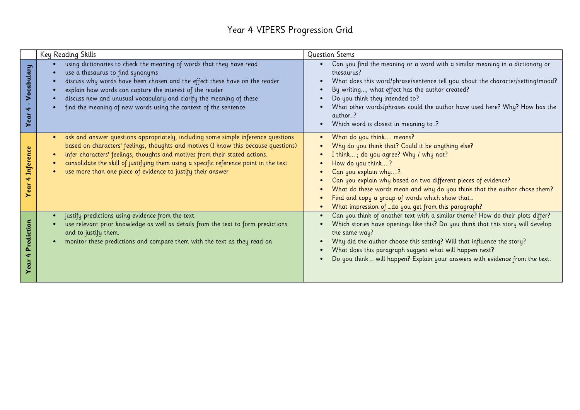#### Year 4 VIPERS Progression Grid

|                         | Key Reading Skills                                                                                                                                                                                                                                                                                                                                                                                              | <b>Question Stems</b>                                                                                                                                                                                                                                                                                                                                                                                                                                |
|-------------------------|-----------------------------------------------------------------------------------------------------------------------------------------------------------------------------------------------------------------------------------------------------------------------------------------------------------------------------------------------------------------------------------------------------------------|------------------------------------------------------------------------------------------------------------------------------------------------------------------------------------------------------------------------------------------------------------------------------------------------------------------------------------------------------------------------------------------------------------------------------------------------------|
| ocabulary<br>×.<br>Year | using dictionaries to check the meaning of words that they have read<br>use a thesaurus to find synonyms<br>discuss why words have been chosen and the effect these have on the reader<br>explain how words can capture the interest of the reader<br>discuss new and unusual vocabulary and clarify the meaning of these<br>find the meaning of new words using the context of the sentence.                   | Can you find the meaning or a word with a similar meaning in a dictionary or<br>$\bullet$<br>thesaurus?<br>What does this word/phrase/sentence tell you about the character/setting/mood?<br>$\bullet$<br>By writing, what effect has the author created?<br>Do you think they intended to?<br>What other words/phrases could the author have used here? Why? How has the<br>author?<br>Which word is closest in meaning to?<br>$\bullet$            |
| Inference<br>∢<br>ēū    | ask and answer questions appropriately, including some simple inference questions<br>based on characters' feelings, thoughts and motives (I know this because questions)<br>infer characters' feelings, thoughts and motives from their stated actions.<br>consolidate the skill of justifying them using a specific reference point in the text<br>use more than one piece of evidence to justify their answer | What do you think means?<br>$\bullet$<br>Why do you think that? Could it be anything else?<br>I think; do you agree? Why / why not?<br>How do you think?<br>Can you explain why?<br>Can you explain why based on two different pieces of evidence?<br>What do these words mean and why do you think that the author chose them?<br>Find and copy a group of words which show that<br>What impression of do you get from this paragraph?<br>$\bullet$ |
| rediction<br>۵.<br>ē    | justify predictions using evidence from the text.<br>use relevant prior knowledge as well as details from the text to form predictions<br>and to justify them.<br>monitor these predictions and compare them with the text as they read on<br>$\bullet$                                                                                                                                                         | Can you think of another text with a similar theme? How do their plots differ?<br>Which stories have openings like this? Do you think that this story will develop<br>$\bullet$<br>the same way?<br>Why did the author choose this setting? Will that influence the story?<br>What does this paragraph suggest what will happen next?<br>Do you think  will happen? Explain your answers with evidence from the text.                                |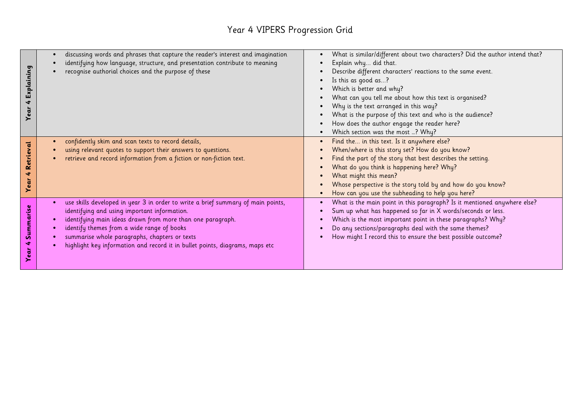#### Year 4 VIPERS Progression Grid

|            | discussing words and phrases that capture the reader's interest and imagination  | What is similar/different about two characters? Did the author intend that? |
|------------|----------------------------------------------------------------------------------|-----------------------------------------------------------------------------|
|            | identifying how language, structure, and presentation contribute to meaning      | Explain why did that.                                                       |
|            | recognise authorial choices and the purpose of these                             | Describe different characters' reactions to the same event.                 |
|            |                                                                                  | Is this as good as?                                                         |
| Explaining |                                                                                  | Which is better and why?                                                    |
|            |                                                                                  | What can you tell me about how this text is organised?                      |
| 4          |                                                                                  | Why is the text arranged in this way?                                       |
| Year       |                                                                                  | What is the purpose of this text and who is the audience?                   |
|            |                                                                                  | How does the author engage the reader here?                                 |
|            |                                                                                  | Which section was the most ? Why?                                           |
|            | confidently skim and scan texts to record details,                               | Find the in this text. Is it anywhere else?                                 |
| Retrieval  | using relevant quotes to support their answers to questions.                     | When/where is this story set? How do you know?                              |
|            | retrieve and record information from a fiction or non-fiction text.              | Find the part of the story that best describes the setting.                 |
|            |                                                                                  | What do you think is happening here? Why?                                   |
| 4          |                                                                                  | What might this mean?                                                       |
| Year       |                                                                                  | Whose perspective is the story told by and how do you know?                 |
|            |                                                                                  | How can you use the subheading to help you here?                            |
|            | use skills developed in year 3 in order to write a brief summary of main points, | What is the main point in this paragraph? Is it mentioned anywhere else?    |
|            | identifying and using important information.                                     | Sum up what has happened so far in X words/seconds or less.                 |
| Summarise  | identifying main ideas drawn from more than one paragraph.                       | Which is the most important point in these paragraphs? Why?                 |
|            | identify themes from a wide range of books                                       | Do any sections/paragraphs deal with the same themes?                       |
|            | summarise whole paragraphs, chapters or texts                                    | How might I record this to ensure the best possible outcome?                |
| Ń.         | highlight key information and record it in bullet points, diagrams, maps etc     |                                                                             |
| ear        |                                                                                  |                                                                             |
|            |                                                                                  |                                                                             |
|            |                                                                                  |                                                                             |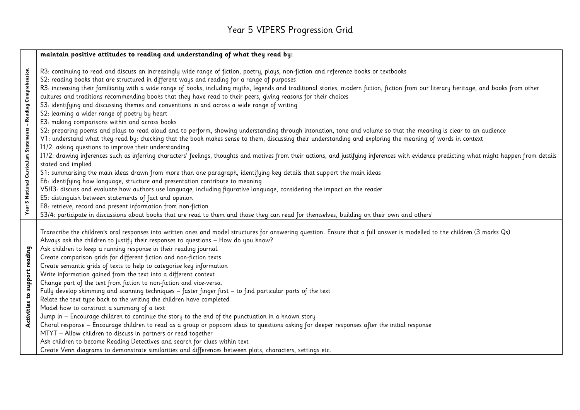# Year 5 VIPERS Progression Grid

|                               | maintain positive attitudes to reading and understanding of what they read by:                                                                                                                                                                                                                                                                                                                                                                                                                                                                                                                                                                                                                                                                                                                                                                                                                                                                                                                                                                                                                                                                                                                                                                                                                                                                                                                                                                                                                                                                                                                                                                                                                                                                                                                                                                                                                                                                                                            |
|-------------------------------|-------------------------------------------------------------------------------------------------------------------------------------------------------------------------------------------------------------------------------------------------------------------------------------------------------------------------------------------------------------------------------------------------------------------------------------------------------------------------------------------------------------------------------------------------------------------------------------------------------------------------------------------------------------------------------------------------------------------------------------------------------------------------------------------------------------------------------------------------------------------------------------------------------------------------------------------------------------------------------------------------------------------------------------------------------------------------------------------------------------------------------------------------------------------------------------------------------------------------------------------------------------------------------------------------------------------------------------------------------------------------------------------------------------------------------------------------------------------------------------------------------------------------------------------------------------------------------------------------------------------------------------------------------------------------------------------------------------------------------------------------------------------------------------------------------------------------------------------------------------------------------------------------------------------------------------------------------------------------------------------|
| ပိ                            | R3: continuing to read and discuss an increasingly wide range of fiction, poetry, plays, non-fiction and reference books or textbooks<br>S2: reading books that are structured in different ways and reading for a range of purposes<br>R3: increasing their familiarity with a wide range of books, including myths, legends and traditional stories, modern fiction, fiction from our literary heritage, and books from other<br>cultures and traditions recommending books that they have read to their peers, giving reasons for their choices<br>S3: identifying and discussing themes and conventions in and across a wide range of writing<br>S2: learning a wider range of poetry by heart<br>E3: making comparisons within and across books<br>S2: preparing poems and plays to read aloud and to perform, showing understanding through intonation, tone and volume so that the meaning is clear to an audience<br>V1: understand what they read by: checking that the book makes sense to them, discussing their understanding and exploring the meaning of words in context<br>I1/2: asking questions to improve their understanding<br>I1/2: drawing inferences such as inferring characters' feelings, thoughts and motives from their actions, and justifying inferences with evidence predicting what might happen from details<br>stated and implied<br>S1: summarising the main ideas drawn from more than one paragraph, identifying key details that support the main ideas<br>E6: identifying how language, structure and presentation contribute to meaning<br>V5/I3: discuss and evaluate how authors use language, including figurative language, considering the impact on the reader<br>E5: distinguish between statements of fact and opinion<br>E8: retrieve, record and present information from non-fiction<br>S3/4: participate in discussions about books that are read to them and those they can read for themselves, building on their own and others' |
| Activities to support reading | Transcribe the children's oral responses into written ones and model structures for answering question. Ensure that a full answer is modelled to the children (3 marks Qs)<br>Always ask the children to justify their responses to questions - How do you know?<br>Ask children to keep a running response in their reading journal.<br>Create comparison grids for different fiction and non-fiction texts<br>Create semantic grids of texts to help to categorise key information<br>Write information gained from the text into a different context<br>Change part of the text from fiction to non-fiction and vice-versa.<br>Fully develop skimming and scanning techniques - faster finger first - to find particular parts of the text<br>Relate the text type back to the writing the children have completed<br>Model how to construct a summary of a text<br>Jump in - Encourage children to continue the story to the end of the punctuation in a known story<br>Choral response - Encourage children to read as a group or popcorn ideas to questions asking for deeper responses after the initial response<br>MTYT - Allow children to discuss in partners or read together<br>Ask children to become Reading Detectives and search for clues within text<br>Create Venn diagrams to demonstrate similarities and differences between plots, characters, settings etc.                                                                                                                                                                                                                                                                                                                                                                                                                                                                                                                                                                                                      |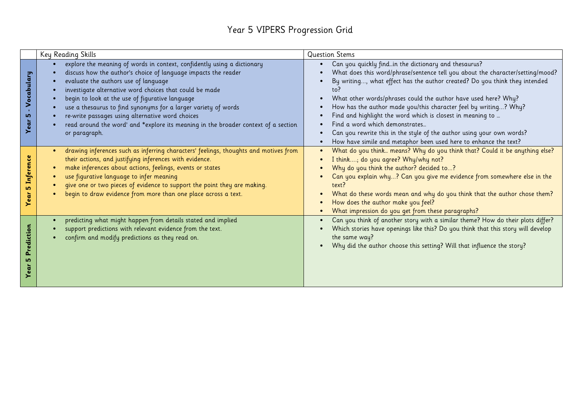#### Year 5 VIPERS Progression Grid

|                             | Key Reading Skills                                                                                                                                                                                                                                                                                                                                                                                                                                                                                                           | <b>Question Stems</b>                                                                                                                                                                                                                                                                                                                                                                                                                                                                                                                                                                                                       |
|-----------------------------|------------------------------------------------------------------------------------------------------------------------------------------------------------------------------------------------------------------------------------------------------------------------------------------------------------------------------------------------------------------------------------------------------------------------------------------------------------------------------------------------------------------------------|-----------------------------------------------------------------------------------------------------------------------------------------------------------------------------------------------------------------------------------------------------------------------------------------------------------------------------------------------------------------------------------------------------------------------------------------------------------------------------------------------------------------------------------------------------------------------------------------------------------------------------|
| Vocabulary<br>5             | explore the meaning of words in context, confidently using a dictionary<br>discuss how the author's choice of language impacts the reader<br>evaluate the authors use of language<br>investigate alternative word choices that could be made<br>begin to look at the use of figurative language<br>use a thesaurus to find synonyms for a larger variety of words<br>re-write passages using alternative word choices<br>read around the word' and *explore its meaning in the broader context of a section<br>or paragraph. | Can you quickly findin the dictionary and thesaurus?<br>$\bullet$<br>What does this word/phrase/sentence tell you about the character/setting/mood?<br>By writing, what effect has the author created? Do you think they intended<br>to?<br>What other words/phrases could the author have used here? Why?<br>How has the author made you/this character feel by writing? Why?<br>Find and highlight the word which is closest in meaning to<br>Find a word which demonstrates<br>Can you rewrite this in the style of the author using your own words?<br>How have simile and metaphor been used here to enhance the text? |
| nference<br><b>LO</b><br>ea | drawing inferences such as inferring characters' feelings, thoughts and motives from<br>$\bullet$<br>their actions, and justifying inferences with evidence.<br>make inferences about actions, feelings, events or states<br>use figurative language to infer meaning<br>give one or two pieces of evidence to support the point they are making.<br>begin to draw evidence from more than one place across a text.                                                                                                          | What do you think means? Why do you think that? Could it be anything else?<br>$\bullet$<br>I think; do you agree? Why/why not?<br>Why do you think the author? decided to?<br>Can you explain why? Can you give me evidence from somewhere else in the<br>text?<br>What do these words mean and why do you think that the author chose them?<br>How does the author make you feel?<br>What impression do you get from these paragraphs?                                                                                                                                                                                     |
| ediction                    | predicting what might happen from details stated and implied<br>$\bullet$<br>support predictions with relevant evidence from the text.<br>confirm and modify predictions as they read on.                                                                                                                                                                                                                                                                                                                                    | Can you think of another story with a similar theme? How do their plots differ?<br>Which stories have openings like this? Do you think that this story will develop<br>the same way?<br>Why did the author choose this setting? Will that influence the story?                                                                                                                                                                                                                                                                                                                                                              |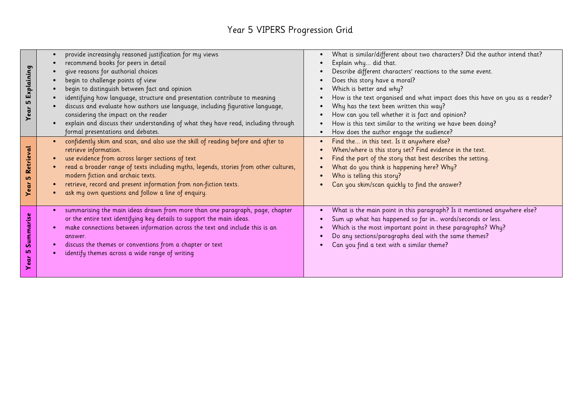# Year 5 VIPERS Progression Grid

| Explaining<br>5                | provide increasingly reasoned justification for my views<br>recommend books for peers in detail<br>give reasons for authorial choices<br>begin to challenge points of view<br>begin to distinguish between fact and opinion<br>identifying how language, structure and presentation contribute to meaning                                                                                                            | What is similar/different about two characters? Did the author intend that?<br>Explain why did that.<br>Describe different characters' reactions to the same event.<br>Does this story have a moral?<br>Which is better and why?<br>How is the text organised and what impact does this have on you as a reader? |
|--------------------------------|----------------------------------------------------------------------------------------------------------------------------------------------------------------------------------------------------------------------------------------------------------------------------------------------------------------------------------------------------------------------------------------------------------------------|------------------------------------------------------------------------------------------------------------------------------------------------------------------------------------------------------------------------------------------------------------------------------------------------------------------|
| Year                           | discuss and evaluate how authors use language, including figurative language,<br>considering the impact on the reader<br>explain and discuss their understanding of what they have read, including through<br>formal presentations and debates.                                                                                                                                                                      | Why has the text been written this way?<br>How can you tell whether it is fact and opinion?<br>How is this text similar to the writing we have been doing?<br>How does the author engage the audience?                                                                                                           |
| Retrieval<br><b>LO</b><br>Year | confidently skim and scan, and also use the skill of reading before and after to<br>retrieve information.<br>use evidence from across larger sections of text<br>read a broader range of texts including myths, legends, stories from other cultures,<br>modern fiction and archaic texts.<br>retrieve, record and present information from non-fiction texts.<br>ask my own questions and follow a line of enquiry. | Find the in this text. Is it anywhere else?<br>When/where is this story set? Find evidence in the text.<br>Find the part of the story that best describes the setting.<br>What do you think is happening here? Why?<br>Who is telling this story?<br>Can you skim/scan quickly to find the answer?               |
| Summarise<br>ம<br>ēar<br>>     | summarising the main ideas drawn from more than one paragraph, page, chapter<br>or the entire text identifying key details to support the main ideas.<br>make connections between information across the text and include this is an<br>answer.<br>discuss the themes or conventions from a chapter or text<br>identify themes across a wide range of writing                                                        | What is the main point in this paragraph? Is it mentioned anywhere else?<br>Sum up what has happened so far in words/seconds or less.<br>Which is the most important point in these paragraphs? Why?<br>Do any sections/paragraphs deal with the same themes?<br>Can you find a text with a similar theme?       |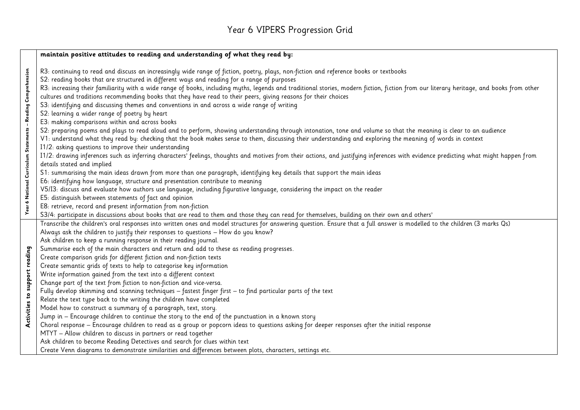# Year 6 VIPERS Progression Grid

|                               | maintain positive attitudes to reading and understanding of what they read by:                                                                                                                                                                                                                                                                                                                                                                                                                                                                                                                                                                                                                                                                                                                                                                                                                                                                                                                                                                                                                                                                                                                                                                                                                                                                                                                                                                                                                                                                                                                                                                                                                                                                                                                                                            |  |  |  |
|-------------------------------|-------------------------------------------------------------------------------------------------------------------------------------------------------------------------------------------------------------------------------------------------------------------------------------------------------------------------------------------------------------------------------------------------------------------------------------------------------------------------------------------------------------------------------------------------------------------------------------------------------------------------------------------------------------------------------------------------------------------------------------------------------------------------------------------------------------------------------------------------------------------------------------------------------------------------------------------------------------------------------------------------------------------------------------------------------------------------------------------------------------------------------------------------------------------------------------------------------------------------------------------------------------------------------------------------------------------------------------------------------------------------------------------------------------------------------------------------------------------------------------------------------------------------------------------------------------------------------------------------------------------------------------------------------------------------------------------------------------------------------------------------------------------------------------------------------------------------------------------|--|--|--|
| ပိ                            | R3: continuing to read and discuss an increasingly wide range of fiction, poetry, plays, non-fiction and reference books or textbooks<br>S2: reading books that are structured in different ways and reading for a range of purposes<br>R3: increasing their familiarity with a wide range of books, including myths, legends and traditional stories, modern fiction, fiction from our literary heritage, and books from other<br>cultures and traditions recommending books that they have read to their peers, giving reasons for their choices<br>S3: identifying and discussing themes and conventions in and across a wide range of writing<br>S2: learning a wider range of poetry by heart<br>E3: making comparisons within and across books<br>S2: preparing poems and plays to read aloud and to perform, showing understanding through intonation, tone and volume so that the meaning is clear to an audience<br>V1: understand what they read by: checking that the book makes sense to them, discussing their understanding and exploring the meaning of words in context<br>I1/2: asking questions to improve their understanding<br>I1/2: drawing inferences such as inferring characters' feelings, thoughts and motives from their actions, and justifying inferences with evidence predicting what might happen from<br>details stated and implied<br>S1: summarising the main ideas drawn from more than one paragraph, identifying key details that support the main ideas<br>E6: identifying how language, structure and presentation contribute to meaning<br>V5/I3: discuss and evaluate how authors use language, including figurative language, considering the impact on the reader<br>E5: distinguish between statements of fact and opinion<br>E8: retrieve, record and present information from non-fiction |  |  |  |
| Activities to support reading | S3/4: participate in discussions about books that are read to them and those they can read for themselves, building on their own and others'<br>Transcribe the children's oral responses into written ones and model structures for answering question. Ensure that a full answer is modelled to the children (3 marks Qs)<br>Always ask the children to justify their responses to questions - How do you know?<br>Ask children to keep a running response in their reading journal.<br>Summarise each of the main characters and return and add to these as reading progresses.<br>Create comparison grids for different fiction and non-fiction texts<br>Create semantic grids of texts to help to categorise key information<br>Write information gained from the text into a different context<br>Change part of the text from fiction to non-fiction and vice-versa.<br>Fully develop skimming and scanning techniques - fastest finger first - to find particular parts of the text<br>Relate the text type back to the writing the children have completed<br>Model how to construct a summary of a paragraph, text, story.<br>Jump in - Encourage children to continue the story to the end of the punctuation in a known story<br>Choral response - Encourage children to read as a group or popcorn ideas to questions asking for deeper responses after the initial response<br>MTYT - Allow children to discuss in partners or read together<br>Ask children to become Reading Detectives and search for clues within text<br>Create Venn diagrams to demonstrate similarities and differences between plots, characters, settings etc.                                                                                                                                                                                      |  |  |  |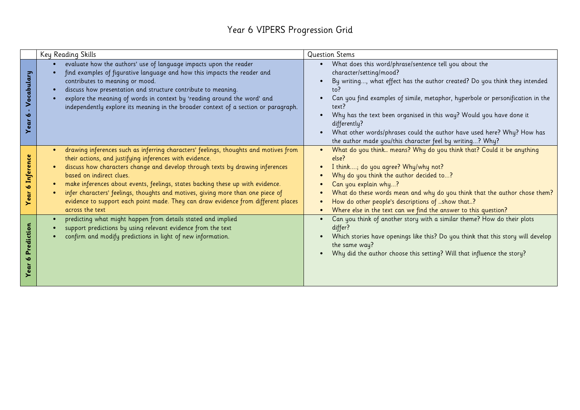#### Year 6 VIPERS Progression Grid

|                      | Key Reading Skills                                                                                                                                                                                                                                                                                                                                                                                                                                                                                                                                                  | <b>Question Stems</b>                                                                                                                                                                                                                                                                                                                                                                                                                                                                          |
|----------------------|---------------------------------------------------------------------------------------------------------------------------------------------------------------------------------------------------------------------------------------------------------------------------------------------------------------------------------------------------------------------------------------------------------------------------------------------------------------------------------------------------------------------------------------------------------------------|------------------------------------------------------------------------------------------------------------------------------------------------------------------------------------------------------------------------------------------------------------------------------------------------------------------------------------------------------------------------------------------------------------------------------------------------------------------------------------------------|
| Vocabulary<br>৩      | evaluate how the authors' use of language impacts upon the reader<br>find examples of figurative language and how this impacts the reader and<br>contributes to meaning or mood.<br>discuss how presentation and structure contribute to meaning.<br>explore the meaning of words in context by 'reading around the word' and<br>independently explore its meaning in the broader context of a section or paragraph.                                                                                                                                                | What does this word/phrase/sentence tell you about the<br>character/setting/mood?<br>By writing, what effect has the author created? Do you think they intended<br>to?<br>Can you find examples of simile, metaphor, hyperbole or personification in the<br>text?<br>Why has the text been organised in this way? Would you have done it<br>differently?<br>What other words/phrases could the author have used here? Why? How has<br>the author made you/this character feel by writing? Why? |
| 6 Inference<br>Year  | drawing inferences such as inferring characters' feelings, thoughts and motives from<br>$\bullet$<br>their actions, and justifying inferences with evidence.<br>discuss how characters change and develop through texts by drawing inferences<br>based on indirect clues.<br>make inferences about events, feelings, states backing these up with evidence.<br>$\bullet$<br>infer characters' feelings, thoughts and motives, giving more than one piece of<br>evidence to support each point made. They can draw evidence from different places<br>across the text | What do you think means? Why do you think that? Could it be anything<br>else?<br>I think; do you agree? Why/why not?<br>Why do you think the author decided to?<br>Can you explain why?<br>What do these words mean and why do you think that the author chose them?<br>How do other people's descriptions of show that?<br>Where else in the text can we find the answer to this question?                                                                                                    |
| Prediction<br>∾<br>> | predicting what might happen from details stated and implied<br>support predictions by using relevant evidence from the text<br>confirm and modify predictions in light of new information.                                                                                                                                                                                                                                                                                                                                                                         | Can you think of another story with a similar theme? How do their plots<br>differ?<br>Which stories have openings like this? Do you think that this story will develop<br>the same way?<br>Why did the author choose this setting? Will that influence the story?                                                                                                                                                                                                                              |